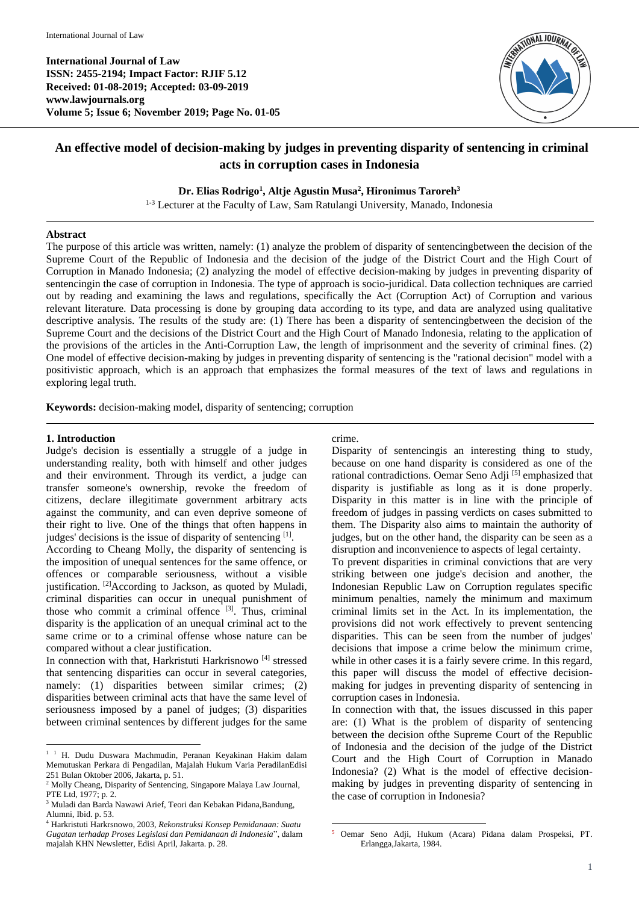**International Journal of Law ISSN: 2455-2194; Impact Factor: RJIF 5.12 Received: 01-08-2019; Accepted: 03-09-2019 www.lawjournals.org Volume 5; Issue 6; November 2019; Page No. 01-05**



# **An effective model of decision-making by judges in preventing disparity of sentencing in criminal acts in corruption cases in Indonesia**

# **Dr. Elias Rodrigo<sup>1</sup> , Altje Agustin Musa<sup>2</sup> , Hironimus Taroreh<sup>3</sup>**

1-3 Lecturer at the Faculty of Law, Sam Ratulangi University, Manado, Indonesia

# **Abstract**

The purpose of this article was written, namely: (1) analyze the problem of disparity of sentencingbetween the decision of the Supreme Court of the Republic of Indonesia and the decision of the judge of the District Court and the High Court of Corruption in Manado Indonesia; (2) analyzing the model of effective decision-making by judges in preventing disparity of sentencingin the case of corruption in Indonesia. The type of approach is socio-juridical. Data collection techniques are carried out by reading and examining the laws and regulations, specifically the Act (Corruption Act) of Corruption and various relevant literature. Data processing is done by grouping data according to its type, and data are analyzed using qualitative descriptive analysis. The results of the study are: (1) There has been a disparity of sentencingbetween the decision of the Supreme Court and the decisions of the District Court and the High Court of Manado Indonesia, relating to the application of the provisions of the articles in the Anti-Corruption Law, the length of imprisonment and the severity of criminal fines. (2) One model of effective decision-making by judges in preventing disparity of sentencing is the "rational decision" model with a positivistic approach, which is an approach that emphasizes the formal measures of the text of laws and regulations in exploring legal truth.

**Keywords:** decision-making model, disparity of sentencing; corruption

# **1. Introduction**

Judge's decision is essentially a struggle of a judge in understanding reality, both with himself and other judges and their environment. Through its verdict, a judge can transfer someone's ownership, revoke the freedom of citizens, declare illegitimate government arbitrary acts against the community, and can even deprive someone of their right to live. One of the things that often happens in judges' decisions is the issue of disparity of sentencing [1].

According to Cheang Molly, the disparity of sentencing is the imposition of unequal sentences for the same offence, or offences or comparable seriousness, without a visible justification. <sup>[2]</sup>According to Jackson, as quoted by Muladi, criminal disparities can occur in unequal punishment of those who commit a criminal offence [3]. Thus, criminal disparity is the application of an unequal criminal act to the same crime or to a criminal offense whose nature can be compared without a clear justification.

In connection with that, Harkristuti Harkrisnowo<sup>[4]</sup> stressed that sentencing disparities can occur in several categories, namely: (1) disparities between similar crimes; (2) disparities between criminal acts that have the same level of seriousness imposed by a panel of judges; (3) disparities between criminal sentences by different judges for the same

# crime.

Disparity of sentencingis an interesting thing to study, because on one hand disparity is considered as one of the rational contradictions. Oemar Seno Adji <a>[5]</a> emphasized that disparity is justifiable as long as it is done properly. Disparity in this matter is in line with the principle of freedom of judges in passing verdicts on cases submitted to them. The Disparity also aims to maintain the authority of judges, but on the other hand, the disparity can be seen as a disruption and inconvenience to aspects of legal certainty.

To prevent disparities in criminal convictions that are very striking between one judge's decision and another, the Indonesian Republic Law on Corruption regulates specific minimum penalties, namely the minimum and maximum criminal limits set in the Act. In its implementation, the provisions did not work effectively to prevent sentencing disparities. This can be seen from the number of judges' decisions that impose a crime below the minimum crime, while in other cases it is a fairly severe crime. In this regard, this paper will discuss the model of effective decisionmaking for judges in preventing disparity of sentencing in corruption cases in Indonesia.

In connection with that, the issues discussed in this paper are: (1) What is the problem of disparity of sentencing between the decision ofthe Supreme Court of the Republic of Indonesia and the decision of the judge of the District Court and the High Court of Corruption in Manado Indonesia? (2) What is the model of effective decisionmaking by judges in preventing disparity of sentencing in the case of corruption in Indonesia?

 $\overline{a}$ <sup>1 1</sup> H. Dudu Duswara Machmudin, Peranan Keyakinan Hakim dalam Memutuskan Perkara di Pengadilan, Majalah Hukum Varia PeradilanEdisi 251 Bulan Oktober 2006, Jakarta, p. 51.

<sup>&</sup>lt;sup>2</sup> Molly Cheang, Disparity of Sentencing, Singapore Malaya Law Journal, PTE Ltd, 1977; p. 2.

<sup>&</sup>lt;sup>3</sup> Muladi dan Barda Nawawi Arief, Teori dan Kebakan Pidana,Bandung, Alumni, Ibid. p. 53.

<sup>4</sup> Harkristuti Harkrsnowo, 2003, *Rekonstruksi Konsep Pemidanaan: Suatu Gugatan terhadap Proses Legislasi dan Pemidanaan di Indonesia*", dalam majalah KHN Newsletter, Edisi April, Jakarta. p. 28.

**<sup>.</sup>** <sup>5</sup> Oemar Seno Adji, Hukum (Acara) Pidana dalam Prospeksi, PT. Erlangga,Jakarta, 1984.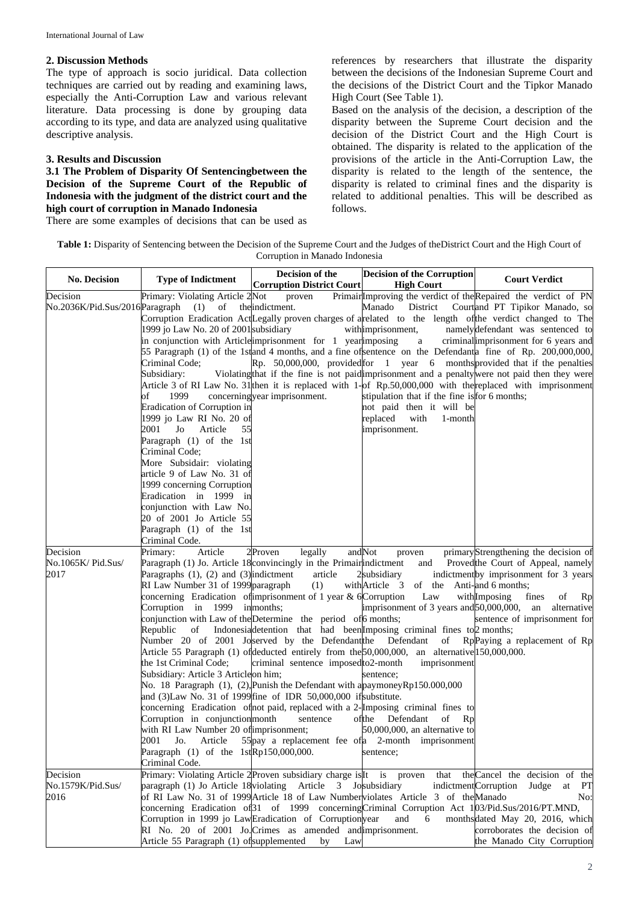#### **2. Discussion Methods**

The type of approach is socio juridical. Data collection techniques are carried out by reading and examining laws, especially the Anti-Corruption Law and various relevant literature. Data processing is done by grouping data according to its type, and data are analyzed using qualitative descriptive analysis.

# **3. Results and Discussion**

**3.1 The Problem of Disparity Of Sentencingbetween the Decision of the Supreme Court of the Republic of Indonesia with the judgment of the district court and the high court of corruption in Manado Indonesia**

There are some examples of decisions that can be used as

references by researchers that illustrate the disparity between the decisions of the Indonesian Supreme Court and the decisions of the District Court and the Tipkor Manado High Court (See Table 1).

Based on the analysis of the decision, a description of the disparity between the Supreme Court decision and the decision of the District Court and the High Court is obtained. The disparity is related to the application of the provisions of the article in the Anti-Corruption Law, the disparity is related to the length of the sentence, the disparity is related to criminal fines and the disparity is related to additional penalties. This will be described as follows.

| Table 1: Disparity of Sentencing between the Decision of the Supreme Court and the Judges of the District Court and the High Court of |
|---------------------------------------------------------------------------------------------------------------------------------------|
| Corruption in Manado Indonesia                                                                                                        |

| <b>No. Decision</b>                   | <b>Type of Indictment</b>                                                                                                                                                                                                                                                                                                                                                                                                                                                                                                                                                                                                                                                                                                                                                                                                         | Decision of the<br><b>Corruption District Court</b>                                     | <b>Decision of the Corruption</b><br><b>High Court</b>                                                                                                                                                                                                                                                                                                                                                                                                                                                                                                                              | <b>Court Verdict</b>                                                                                                                                                                                                                                                                                                                                                                                                                                                                                                                                                                                                                                                                                                |
|---------------------------------------|-----------------------------------------------------------------------------------------------------------------------------------------------------------------------------------------------------------------------------------------------------------------------------------------------------------------------------------------------------------------------------------------------------------------------------------------------------------------------------------------------------------------------------------------------------------------------------------------------------------------------------------------------------------------------------------------------------------------------------------------------------------------------------------------------------------------------------------|-----------------------------------------------------------------------------------------|-------------------------------------------------------------------------------------------------------------------------------------------------------------------------------------------------------------------------------------------------------------------------------------------------------------------------------------------------------------------------------------------------------------------------------------------------------------------------------------------------------------------------------------------------------------------------------------|---------------------------------------------------------------------------------------------------------------------------------------------------------------------------------------------------------------------------------------------------------------------------------------------------------------------------------------------------------------------------------------------------------------------------------------------------------------------------------------------------------------------------------------------------------------------------------------------------------------------------------------------------------------------------------------------------------------------|
| Decision                              | Primary: Violating Article 2Not<br>No.2036K/Pid.Sus/2016Paragraph (1) of the indictment.<br>1999 jo Law No. 20 of 2001 subsidiary<br>in conjunction with Article imprisonment for 1 year imposing<br>Criminal Code;<br>Subsidiary:<br>of<br>1999<br>Eradication of Corruption in<br>1999 jo Law RI No. 20 of<br>2001<br>Jo<br>Article<br>55<br>Paragraph (1) of the 1st<br>Criminal Code;<br>More Subsidair: violating<br>article 9 of Law No. 31 of<br>1999 concerning Corruption<br>Eradication in 1999 in<br>conjunction with Law No.<br>20 of 2001 Jo Article 55<br>Paragraph (1) of the 1st<br>Criminal Code.                                                                                                                                                                                                                | proven<br>concerningyear imprisonment.                                                  | Manado District<br>withimprisonment,<br>$\mathbf{a}$<br>stipulation that if the fine isfor 6 months;<br>not paid then it will be<br>replaced<br>with<br>1-month<br>imprisonment.                                                                                                                                                                                                                                                                                                                                                                                                    | PrimairlImproving the verdict of the Repaired the verdict of PN<br>Courtand PT Tipikor Manado, so<br>Corruption Eradication ActLegally proven charges of arelated to the length of the verdict changed to The<br>namelydefendant was sentenced to<br>criminal imprisonment for 6 years and<br>55 Paragraph (1) of the 1stand 4 months, and a fine of sentence on the Defendanta fine of Rp. 200,000,000,<br>$\mathbb{R}$ p. 50,000,000, provided for 1 year 6 months provided that if the penalties<br>Violating that if the fine is not paid imprisonment and a penalty were not paid then they were<br>Article 3 of RI Law No. 31 then it is replaced with 1-of Rp.50,000,000 with the replaced with imprisonment |
| Decision<br>No.1065K/Pid.Sus/<br>2017 | Primary:<br>Article<br>Paragraph (1) Jo. Article 18 convincingly in the Primain indictment<br>Paragraphs $(1)$ , $(2)$ and $(3)$ indictment<br>RI Law Number 31 of 1999 paragraph<br>concerning Eradication of imprisonment of 1 year $& 6$ Corruption<br>Corruption in 1999 inmonths;<br>conjunction with Law of the Determine the period of 6 months;<br>Republic<br>Number 20 of 2001 Joserved by the Defendant the Defendant<br>the 1st Criminal Code;<br>Subsidiary: Article 3 Articleon him;<br>No. 18 Paragraph $(1)$ , $(2)$ , Punish the Defendant with a paymoney Rp150.000,000<br>and (3)Law No. 31 of 1999 fine of IDR 50,000,000 if substitute.<br>Corruption in conjunction month<br>with RI Law Number 20 of imprisonment;<br>2001<br>Jo.<br>Article<br>Paragraph $(1)$ of the 1stRp150,000,000.<br>Criminal Code. | legally<br>2Proven<br>article<br>(1)<br>criminal sentence imposed to2-month<br>sentence | andNot<br>proven<br>and<br>2subsidiary<br>withArticle 3<br>of the Anti-and 6 months;<br>Law<br>imprisonment of 3 years and 50,000,000,<br>of Indonesial detention that had been Imposing criminal fines to 2 months;<br>of<br>Article 55 Paragraph (1) of deducted entirely from the 50,000,000, an alternative 150,000,000.<br>imprisonment<br>sentence;<br>concerning Eradication of not paid, replaced with a 2-Imposing criminal fines to<br>ofthe<br>Defendant<br>of Rp<br>$50,000,000$ , an alternative to<br>55 pay a replacement fee of a 2-month imprisonment<br>sentence; | primaryStrengthening the decision of<br>Provedthe Court of Appeal, namely<br>indictmentby imprisonment for 3 years<br>withImposing<br>fines<br>οf<br>Rp<br>an<br>alternative<br>sentence of imprisonment for<br>RpPaying a replacement of Rp                                                                                                                                                                                                                                                                                                                                                                                                                                                                        |
| Decision<br>No.1579K/Pid.Sus/<br>2016 | Primary: Violating Article 2 Proven subsidiary charge is It is proven<br>paragraph (1) Jo Article 18 violating Article 3 Josubsidiary<br>Corruption in 1999 jo LawEradication of Corruptionyear<br>RI No. 20 of 2001 Jo. Crimes as amended and imprisonment.<br>Article 55 Paragraph (1) of supplemented                                                                                                                                                                                                                                                                                                                                                                                                                                                                                                                          | by<br>Law                                                                               | that<br>of RI Law No. 31 of 1999 Article 18 of Law Number violates Article 3 of the Manado<br>concerning Eradication of 31 of 1999 concerning Criminal Corruption Act 103/Pid.Sus/2016/PT.MND,<br>and<br>6                                                                                                                                                                                                                                                                                                                                                                          | the Cancel the decision of the<br>indictmentCorruption<br>PT<br>Judge<br>at<br>No:<br>monthsdated May 20, 2016, which<br>corroborates the decision of<br>the Manado City Corruption                                                                                                                                                                                                                                                                                                                                                                                                                                                                                                                                 |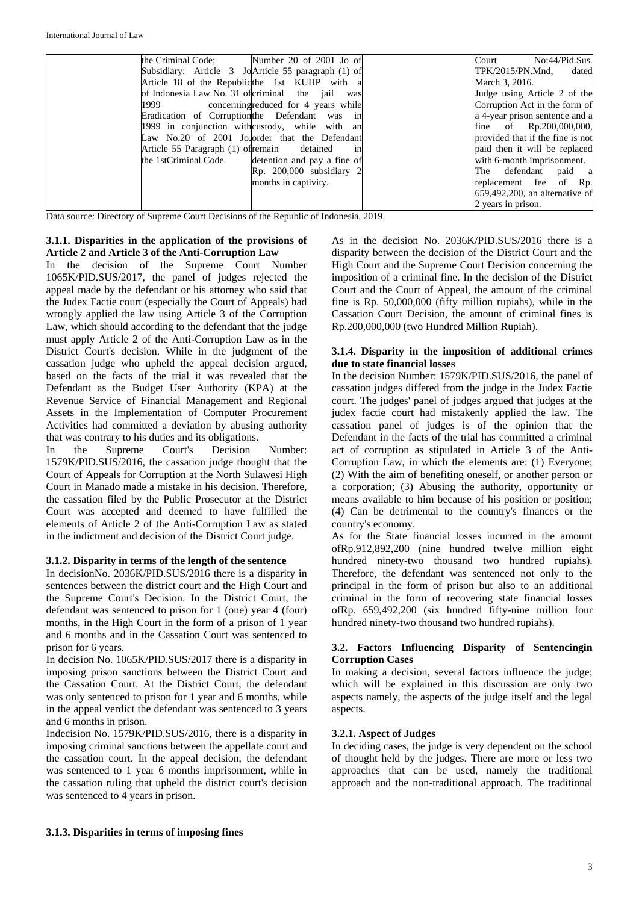| the Criminal Code: Number 20 of 2001 Jo of          | No:44/Pid.Sus.<br>Court           |
|-----------------------------------------------------|-----------------------------------|
| Subsidiary: Article 3 JoArticle 55 paragraph (1) of | TPK/2015/PN.Mnd,<br>dated         |
| Article 18 of the Republicthe 1st KUHP with a       | March 3, 2016.                    |
| of Indonesia Law No. 31 of criminal the jail was    | Judge using Article 2 of the      |
| 1999 concerning reduced for 4 years while           | Corruption Act in the form of     |
| Eradication of Corruption the Defendant was in      | a 4-year prison sentence and a    |
| 1999 in conjunction with custody, while with an     | fine of $Rp.200,000,000,$         |
| Law No.20 of 2001 Jo. order that the Defendant      | provided that if the fine is not  |
| Article 55 Paragraph (1) of remain detained<br>1n   | paid then it will be replaced     |
| the 1stCriminal Code. detention and pay a fine of   | with 6-month imprisonment.        |
| $Rp. 200,000$ subsidiary 2                          | The defendant paid a              |
| months in captivity.                                | replacement fee of Rp.            |
|                                                     | $659,492,200$ , an alternative of |
|                                                     | 2 years in prison.                |

Data source: Directory of Supreme Court Decisions of the Republic of Indonesia, 2019.

# **3.1.1. Disparities in the application of the provisions of Article 2 and Article 3 of the Anti-Corruption Law**

In the decision of the Supreme Court Number 1065K/PID.SUS/2017, the panel of judges rejected the appeal made by the defendant or his attorney who said that the Judex Factie court (especially the Court of Appeals) had wrongly applied the law using Article 3 of the Corruption Law, which should according to the defendant that the judge must apply Article 2 of the Anti-Corruption Law as in the District Court's decision. While in the judgment of the cassation judge who upheld the appeal decision argued, based on the facts of the trial it was revealed that the Defendant as the Budget User Authority (KPA) at the Revenue Service of Financial Management and Regional Assets in the Implementation of Computer Procurement Activities had committed a deviation by abusing authority that was contrary to his duties and its obligations.

In the Supreme Court's Decision Number: 1579K/PID.SUS/2016, the cassation judge thought that the Court of Appeals for Corruption at the North Sulawesi High Court in Manado made a mistake in his decision. Therefore, the cassation filed by the Public Prosecutor at the District Court was accepted and deemed to have fulfilled the elements of Article 2 of the Anti-Corruption Law as stated in the indictment and decision of the District Court judge.

# **3.1.2. Disparity in terms of the length of the sentence**

In decisionNo. 2036K/PID.SUS/2016 there is a disparity in sentences between the district court and the High Court and the Supreme Court's Decision. In the District Court, the defendant was sentenced to prison for 1 (one) year 4 (four) months, in the High Court in the form of a prison of 1 year and 6 months and in the Cassation Court was sentenced to prison for 6 years.

In decision No. 1065K/PID.SUS/2017 there is a disparity in imposing prison sanctions between the District Court and the Cassation Court. At the District Court, the defendant was only sentenced to prison for 1 year and 6 months, while in the appeal verdict the defendant was sentenced to 3 years and 6 months in prison.

Indecision No. 1579K/PID.SUS/2016, there is a disparity in imposing criminal sanctions between the appellate court and the cassation court. In the appeal decision, the defendant was sentenced to 1 year 6 months imprisonment, while in the cassation ruling that upheld the district court's decision was sentenced to 4 years in prison.

As in the decision No. 2036K/PID.SUS/2016 there is a disparity between the decision of the District Court and the High Court and the Supreme Court Decision concerning the imposition of a criminal fine. In the decision of the District Court and the Court of Appeal, the amount of the criminal fine is Rp. 50,000,000 (fifty million rupiahs), while in the Cassation Court Decision, the amount of criminal fines is Rp.200,000,000 (two Hundred Million Rupiah).

# **3.1.4. Disparity in the imposition of additional crimes due to state financial losses**

In the decision Number: 1579K/PID.SUS/2016, the panel of cassation judges differed from the judge in the Judex Factie court. The judges' panel of judges argued that judges at the judex factie court had mistakenly applied the law. The cassation panel of judges is of the opinion that the Defendant in the facts of the trial has committed a criminal act of corruption as stipulated in Article 3 of the Anti-Corruption Law, in which the elements are: (1) Everyone; (2) With the aim of benefiting oneself, or another person or a corporation; (3) Abusing the authority, opportunity or means available to him because of his position or position; (4) Can be detrimental to the country's finances or the country's economy.

As for the State financial losses incurred in the amount ofRp.912,892,200 (nine hundred twelve million eight hundred ninety-two thousand two hundred rupiahs). Therefore, the defendant was sentenced not only to the principal in the form of prison but also to an additional criminal in the form of recovering state financial losses ofRp. 659,492,200 (six hundred fifty-nine million four hundred ninety-two thousand two hundred rupiahs).

# **3.2. Factors Influencing Disparity of Sentencingin Corruption Cases**

In making a decision, several factors influence the judge; which will be explained in this discussion are only two aspects namely, the aspects of the judge itself and the legal aspects.

# **3.2.1. Aspect of Judges**

In deciding cases, the judge is very dependent on the school of thought held by the judges. There are more or less two approaches that can be used, namely the traditional approach and the non-traditional approach. The traditional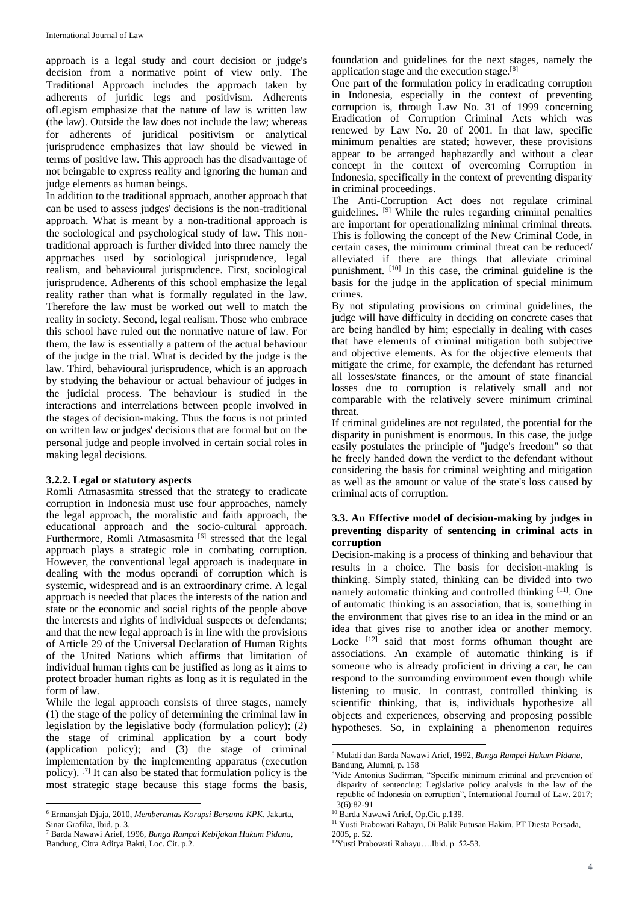approach is a legal study and court decision or judge's decision from a normative point of view only. The Traditional Approach includes the approach taken by adherents of juridic legs and positivism. Adherents ofLegism emphasize that the nature of law is written law (the law). Outside the law does not include the law; whereas for adherents of juridical positivism or analytical jurisprudence emphasizes that law should be viewed in terms of positive law. This approach has the disadvantage of not beingable to express reality and ignoring the human and judge elements as human beings.

In addition to the traditional approach, another approach that can be used to assess judges' decisions is the non-traditional approach. What is meant by a non-traditional approach is the sociological and psychological study of law. This nontraditional approach is further divided into three namely the approaches used by sociological jurisprudence, legal realism, and behavioural jurisprudence. First, sociological jurisprudence. Adherents of this school emphasize the legal reality rather than what is formally regulated in the law. Therefore the law must be worked out well to match the reality in society. Second, legal realism. Those who embrace this school have ruled out the normative nature of law. For them, the law is essentially a pattern of the actual behaviour of the judge in the trial. What is decided by the judge is the law. Third, behavioural jurisprudence, which is an approach by studying the behaviour or actual behaviour of judges in the judicial process. The behaviour is studied in the interactions and interrelations between people involved in the stages of decision-making. Thus the focus is not printed on written law or judges' decisions that are formal but on the personal judge and people involved in certain social roles in making legal decisions.

#### **3.2.2. Legal or statutory aspects**

Romli Atmasasmita stressed that the strategy to eradicate corruption in Indonesia must use four approaches, namely the legal approach, the moralistic and faith approach, the educational approach and the socio-cultural approach. Furthermore, Romli Atmasasmita<sup>[6]</sup> stressed that the legal approach plays a strategic role in combating corruption. However, the conventional legal approach is inadequate in dealing with the modus operandi of corruption which is systemic, widespread and is an extraordinary crime. A legal approach is needed that places the interests of the nation and state or the economic and social rights of the people above the interests and rights of individual suspects or defendants; and that the new legal approach is in line with the provisions of Article 29 of the Universal Declaration of Human Rights of the United Nations which affirms that limitation of individual human rights can be justified as long as it aims to protect broader human rights as long as it is regulated in the form of law.

While the legal approach consists of three stages, namely (1) the stage of the policy of determining the criminal law in legislation by the legislative body (formulation policy); (2) the stage of criminal application by a court body (application policy); and (3) the stage of criminal implementation by the implementing apparatus (execution policy). [7] It can also be stated that formulation policy is the most strategic stage because this stage forms the basis,

 $\overline{a}$ 

foundation and guidelines for the next stages, namely the application stage and the execution stage.[8]

One part of the formulation policy in eradicating corruption in Indonesia, especially in the context of preventing corruption is, through Law No. 31 of 1999 concerning Eradication of Corruption Criminal Acts which was renewed by Law No. 20 of 2001. In that law, specific minimum penalties are stated; however, these provisions appear to be arranged haphazardly and without a clear concept in the context of overcoming Corruption in Indonesia, specifically in the context of preventing disparity in criminal proceedings.

The Anti-Corruption Act does not regulate criminal guidelines. [9] While the rules regarding criminal penalties are important for operationalizing minimal criminal threats. This is following the concept of the New Criminal Code, in certain cases, the minimum criminal threat can be reduced/ alleviated if there are things that alleviate criminal punishment. <sup>[10]</sup> In this case, the criminal guideline is the basis for the judge in the application of special minimum crimes.

By not stipulating provisions on criminal guidelines, the judge will have difficulty in deciding on concrete cases that are being handled by him; especially in dealing with cases that have elements of criminal mitigation both subjective and objective elements. As for the objective elements that mitigate the crime, for example, the defendant has returned all losses/state finances, or the amount of state financial losses due to corruption is relatively small and not comparable with the relatively severe minimum criminal threat.

If criminal guidelines are not regulated, the potential for the disparity in punishment is enormous. In this case, the judge easily postulates the principle of "judge's freedom" so that he freely handed down the verdict to the defendant without considering the basis for criminal weighting and mitigation as well as the amount or value of the state's loss caused by criminal acts of corruption.

# **3.3. An Effective model of decision-making by judges in preventing disparity of sentencing in criminal acts in corruption**

Decision-making is a process of thinking and behaviour that results in a choice. The basis for decision-making is thinking. Simply stated, thinking can be divided into two namely automatic thinking and controlled thinking [11]. One of automatic thinking is an association, that is, something in the environment that gives rise to an idea in the mind or an idea that gives rise to another idea or another memory. Locke<sup>[12]</sup> said that most forms ofhuman thought are associations. An example of automatic thinking is if someone who is already proficient in driving a car, he can respond to the surrounding environment even though while listening to music. In contrast, controlled thinking is scientific thinking, that is, individuals hypothesize all objects and experiences, observing and proposing possible hypotheses. So, in explaining a phenomenon requires

**.** 

<sup>6</sup> Ermansjah Djaja, 2010, *Memberantas Korupsi Bersama KPK*, Jakarta, Sinar Grafika, Ibid. p. 3.

<sup>7</sup> Barda Nawawi Arief, 1996, *Bunga Rampai Kebijakan Hukum Pidana,*  Bandung, Citra Aditya Bakti, Loc. Cit. p.2.

<sup>8</sup> Muladi dan Barda Nawawi Arief, 1992, *Bunga Rampai Hukum Pidana*, Bandung, Alumni, p. 158

<sup>&</sup>lt;sup>9</sup>Vide Antonius Sudirman, "Specific minimum criminal and prevention of disparity of sentencing: Legislative policy analysis in the law of the republic of Indonesia on corruption", International Journal of Law. 2017;  $3(6):82-91$ 

<sup>&</sup>lt;sup>10</sup> Barda Nawawi Arief, Op.Cit. p.139.

<sup>&</sup>lt;sup>11</sup> Yusti Prabowati Rahayu, Di Balik Putusan Hakim, PT Diesta Persada,

<sup>2005,</sup> p. 52.

<sup>12</sup>Yusti Prabowati Rahayu….Ibid. p. 52-53.